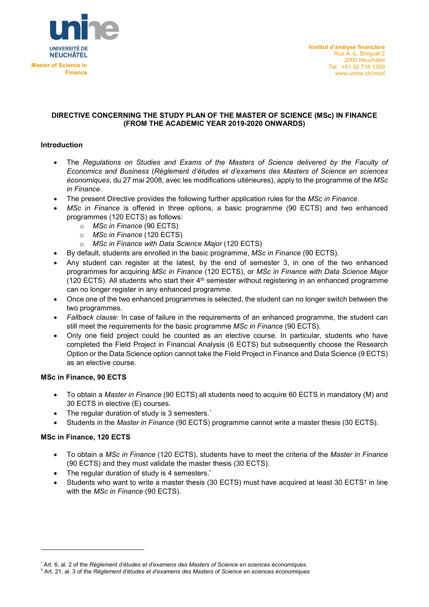

## **DIRECTIVE CONCERNING THE STUDY PLAN OF THE MASTER OF SCIENCE (MSc) IN FINANCE (FROM THE ACADEMIC YEAR 2019-2020 ONWARDS)**

# **Introduction**

- The *Regulations on Studies and Exams of the Masters of Science delivered by the Faculty of Economics and Business* (*Règlement d'études et d'examens des Masters of Science en sciences économiques*, du 27 mai 2008, avec les modifications ultérieures), apply to the programme of the *MSc in Finance*.
- The present Directive provides the following further application rules for the *MSc in Finance*.
- *MSc in Finance* is offered in three options, a basic programme (90 ECTS) and two enhanced programmes (120 ECTS) as follows:
	- o *MSc in Finance* (90 ECTS)
	- o *MSc in Finance* (120 ECTS)
	- o *MSc in Finance with Data Science Major* (120 ECTS)
- By default, students are enrolled in the basic programme, *MSc in Finance* (90 ECTS).
- Any student can register at the latest, by the end of semester 3, in one of the two enhanced programmes for acquiring *MSc in Finance* (120 ECTS), or *MSc in Finance with Data Science Major*  (120 ECTS). All students who start their 4<sup>th</sup> semester without registering in an enhanced programme can no longer register in any enhanced programme.
- Once one of the two enhanced programmes is selected, the student can no longer switch between the two programmes.
- *Fallback clause:* In case of failure in the requirements of an enhanced programme, the student can still meet the requirements for the basic programme *MSc in Finance* (90 ECTS).
- Only one field project could be counted as an elective course. In particular, students who have completed the Field Project in Financial Analysis (6 ECTS) but subsequently choose the Research Option or the Data Science option cannot take the Field Project in Finance and Data Science (9 ECTS) as an elective course.

## **MSc in Finance, 90 ECTS**

- To obtain a *Master in Finance* (90 ECTS) all students need to acquire 60 ECTS in mandatory (M) and 30 ECTS in elective (E) courses.
- The regular duration of study is 3 semesters.<sup>[\\*](#page-0-0)</sup>
- Students in the *Master in Finance* (90 ECTS) programme cannot write a master thesis (30 ECTS).

## **MSc in Finance, 120 ECTS**

-

- To obtain a *MSc in Finance* (120 ECTS), students have to meet the criteria of the *Master in Finance* (90 ECTS) and they must validate the master thesis (30 ECTS).
- The regular duration of study is 4 semesters.<sup>\*</sup>
- Students who want to write a master thesis (30 ECTS) must have acquired at least 30 ECTS<sup>[†](#page-0-1)</sup> in line with the *MSc in Finance* (90 ECTS).

<span id="page-0-0"></span><sup>\*</sup> Art. 6, al. 2 of the *Règlement d'études et d'examens des Masters of Science en sciences économiques*.

<span id="page-0-1"></span><sup>†</sup> Art. 21, al. 3 of the *Règlement d'études et d'examens des Masters of Science en sciences économiques*